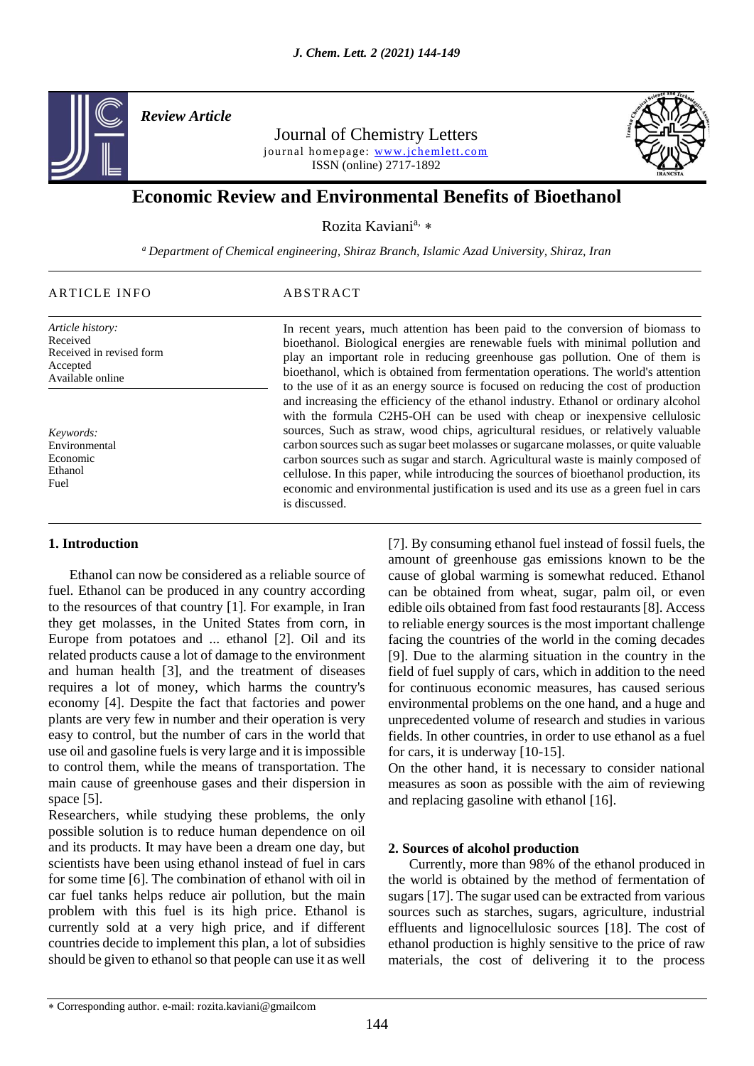

*Review Article* 

Journal of Chemistry Letters journal homepage: www.jchemlett.com ISSN (online) 2717-1892



# **Economic Review and Environmental Benefits of Bioethanol**

Rozita Kaviani<sup>a,</sup> \*

*<sup>a</sup> Department of Chemical engineering, Shiraz Branch, Islamic Azad University, Shiraz, Iran*

## ARTICLE INFO ABSTRACT

*Article history:* Received Received in revised form Accepted Available online

*Keywords:* Environmental Economic Ethanol Fuel

## **1. Introduction**

 Ethanol can now be considered as a reliable source of fuel. Ethanol can be produced in any country according to the resources of that country [1]. For example, in Iran they get molasses, in the United States from corn, in Europe from potatoes and ... ethanol [2]. Oil and its related products cause a lot of damage to the environment and human health [3], and the treatment of diseases requires a lot of money, which harms the country's economy [4]. Despite the fact that factories and power plants are very few in number and their operation is very easy to control, but the number of cars in the world that use oil and gasoline fuels is very large and it is impossible to control them, while the means of transportation. The main cause of greenhouse gases and their dispersion in space [5].

Researchers, while studying these problems, the only possible solution is to reduce human dependence on oil and its products. It may have been a dream one day, but scientists have been using ethanol instead of fuel in cars for some time [6]. The combination of ethanol with oil in car fuel tanks helps reduce air pollution, but the main problem with this fuel is its high price. Ethanol is currently sold at a very high price, and if different countries decide to implement this plan, a lot of subsidies should be given to ethanol so that people can use it as well

In recent years, much attention has been paid to the conversion of biomass to bioethanol. Biological energies are renewable fuels with minimal pollution and play an important role in reducing greenhouse gas pollution. One of them is bioethanol, which is obtained from fermentation operations. The world's attention to the use of it as an energy source is focused on reducing the cost of production and increasing the efficiency of the ethanol industry. Ethanol or ordinary alcohol with the formula C2H5-OH can be used with cheap or inexpensive cellulosic sources, Such as straw, wood chips, agricultural residues, or relatively valuable carbon sources such as sugar beet molasses or sugarcane molasses, or quite valuable carbon sources such as sugar and starch. Agricultural waste is mainly composed of cellulose. In this paper, while introducing the sources of bioethanol production, its economic and environmental justification is used and its use as a green fuel in cars is discussed.

> [7]. By consuming ethanol fuel instead of fossil fuels, the amount of greenhouse gas emissions known to be the cause of global warming is somewhat reduced. Ethanol can be obtained from wheat, sugar, palm oil, or even edible oils obtained from fast food restaurants [8]. Access to reliable energy sources is the most important challenge facing the countries of the world in the coming decades [9]. Due to the alarming situation in the country in the field of fuel supply of cars, which in addition to the need for continuous economic measures, has caused serious environmental problems on the one hand, and a huge and unprecedented volume of research and studies in various fields. In other countries, in order to use ethanol as a fuel for cars, it is underway [10-15].

> On the other hand, it is necessary to consider national measures as soon as possible with the aim of reviewing and replacing gasoline with ethanol [16].

## **2. Sources of alcohol production**

 Currently, more than 98% of the ethanol produced in the world is obtained by the method of fermentation of sugars [17]. The sugar used can be extracted from various sources such as starches, sugars, agriculture, industrial effluents and lignocellulosic sources [18]. The cost of ethanol production is highly sensitive to the price of raw materials, the cost of delivering it to the process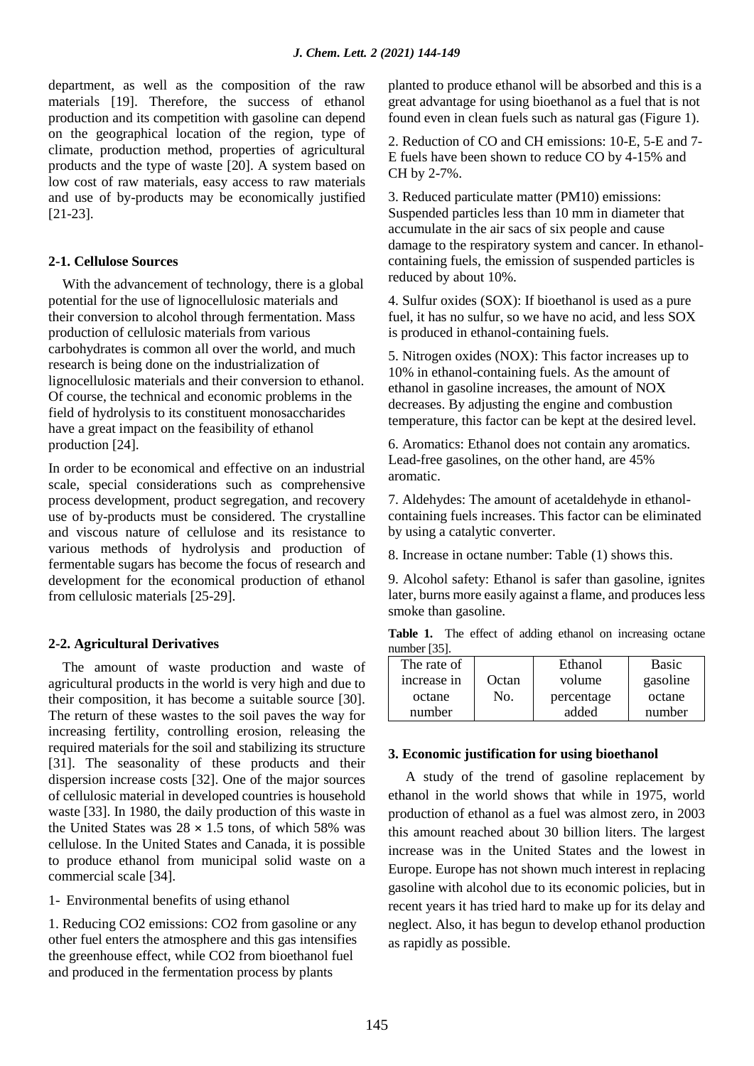department, as well as the composition of the raw materials [19]. Therefore, the success of ethanol production and its competition with gasoline can depend on the geographical location of the region, type of climate, production method, properties of agricultural products and the type of waste [20]. A system based on low cost of raw materials, easy access to raw materials and use of by-products may be economically justified [21-23].

## **2-1. Cellulose Sources**

 With the advancement of technology, there is a global potential for the use of lignocellulosic materials and their conversion to alcohol through fermentation. Mass production of cellulosic materials from various carbohydrates is common all over the world, and much research is being done on the industrialization of lignocellulosic materials and their conversion to ethanol. Of course, the technical and economic problems in the field of hydrolysis to its constituent monosaccharides have a great impact on the feasibility of ethanol production [24].

In order to be economical and effective on an industrial scale, special considerations such as comprehensive process development, product segregation, and recovery use of by-products must be considered. The crystalline and viscous nature of cellulose and its resistance to various methods of hydrolysis and production of fermentable sugars has become the focus of research and development for the economical production of ethanol from cellulosic materials [25-29].

## **2-2. Agricultural Derivatives**

 The amount of waste production and waste of agricultural products in the world is very high and due to their composition, it has become a suitable source [30]. The return of these wastes to the soil paves the way for increasing fertility, controlling erosion, releasing the required materials for the soil and stabilizing its structure [31]. The seasonality of these products and their dispersion increase costs [32]. One of the major sources of cellulosic material in developed countries is household waste [33]. In 1980, the daily production of this waste in the United States was  $28 \times 1.5$  tons, of which 58% was cellulose. In the United States and Canada, it is possible to produce ethanol from municipal solid waste on a commercial scale [34].

1- Environmental benefits of using ethanol

1. Reducing CO2 emissions: CO2 from gasoline or any other fuel enters the atmosphere and this gas intensifies the greenhouse effect, while CO2 from bioethanol fuel and produced in the fermentation process by plants

planted to produce ethanol will be absorbed and this is a great advantage for using bioethanol as a fuel that is not found even in clean fuels such as natural gas (Figure 1).

2. Reduction of CO and CH emissions: 10-E, 5-E and 7- E fuels have been shown to reduce CO by 4-15% and CH by 2-7%.

3. Reduced particulate matter (PM10) emissions: Suspended particles less than 10 mm in diameter that accumulate in the air sacs of six people and cause damage to the respiratory system and cancer. In ethanolcontaining fuels, the emission of suspended particles is reduced by about 10%.

4. Sulfur oxides (SOX): If bioethanol is used as a pure fuel, it has no sulfur, so we have no acid, and less SOX is produced in ethanol-containing fuels.

5. Nitrogen oxides (NOX): This factor increases up to 10% in ethanol-containing fuels. As the amount of ethanol in gasoline increases, the amount of NOX decreases. By adjusting the engine and combustion temperature, this factor can be kept at the desired level.

6. Aromatics: Ethanol does not contain any aromatics. Lead-free gasolines, on the other hand, are 45% aromatic.

7. Aldehydes: The amount of acetaldehyde in ethanolcontaining fuels increases. This factor can be eliminated by using a catalytic converter.

8. Increase in octane number: Table (1) shows this.

9. Alcohol safety: Ethanol is safer than gasoline, ignites later, burns more easily against a flame, and produces less smoke than gasoline.

Table 1. The effect of adding ethanol on increasing octane number [35].

| The rate of |       | Ethanol    | <b>Basic</b> |
|-------------|-------|------------|--------------|
| increase in | Octan | volume     | gasoline     |
| octane      | No.   | percentage | octane       |
| number      |       | added      | number       |

## **3. Economic justification for using bioethanol**

 A study of the trend of gasoline replacement by ethanol in the world shows that while in 1975, world production of ethanol as a fuel was almost zero, in 2003 this amount reached about 30 billion liters. The largest increase was in the United States and the lowest in Europe. Europe has not shown much interest in replacing gasoline with alcohol due to its economic policies, but in recent years it has tried hard to make up for its delay and neglect. Also, it has begun to develop ethanol production as rapidly as possible.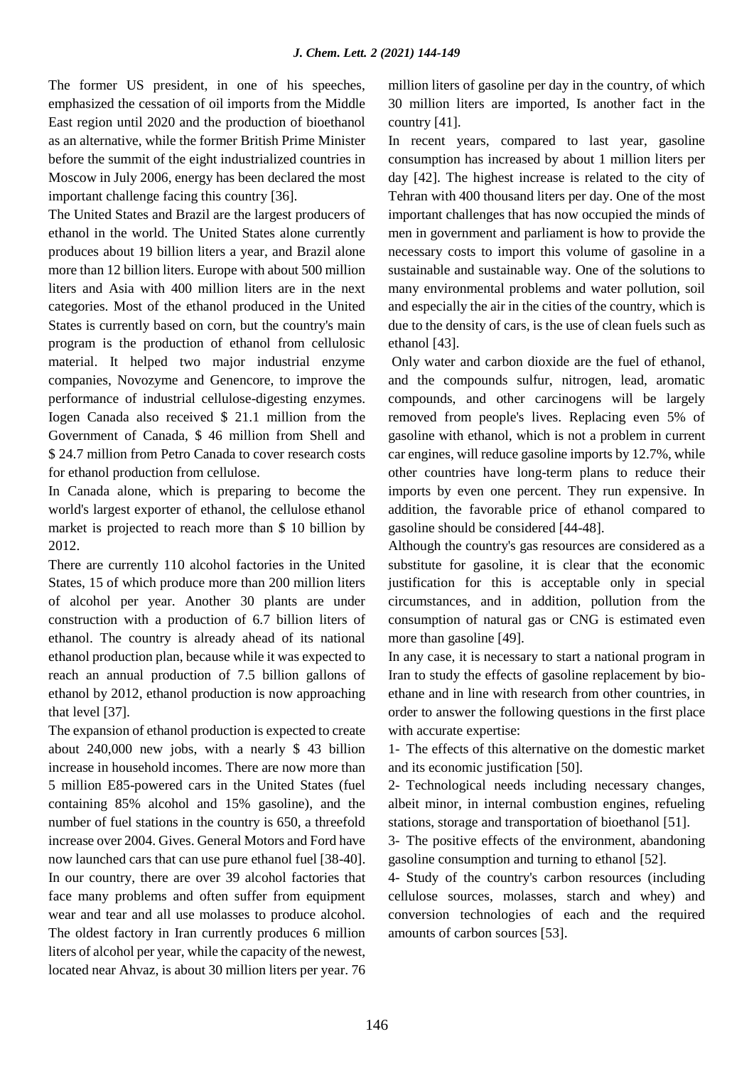The former US president, in one of his speeches, emphasized the cessation of oil imports from the Middle East region until 2020 and the production of bioethanol as an alternative, while the former British Prime Minister before the summit of the eight industrialized countries in Moscow in July 2006, energy has been declared the most important challenge facing this country [36].

The United States and Brazil are the largest producers of ethanol in the world. The United States alone currently produces about 19 billion liters a year, and Brazil alone more than 12 billion liters. Europe with about 500 million liters and Asia with 400 million liters are in the next categories. Most of the ethanol produced in the United States is currently based on corn, but the country's main program is the production of ethanol from cellulosic material. It helped two major industrial enzyme companies, Novozyme and Genencore, to improve the performance of industrial cellulose-digesting enzymes. Iogen Canada also received \$ 21.1 million from the Government of Canada, \$ 46 million from Shell and \$24.7 million from Petro Canada to cover research costs for ethanol production from cellulose.

In Canada alone, which is preparing to become the world's largest exporter of ethanol, the cellulose ethanol market is projected to reach more than \$ 10 billion by 2012.

There are currently 110 alcohol factories in the United States, 15 of which produce more than 200 million liters of alcohol per year. Another 30 plants are under construction with a production of 6.7 billion liters of ethanol. The country is already ahead of its national ethanol production plan, because while it was expected to reach an annual production of 7.5 billion gallons of ethanol by 2012, ethanol production is now approaching that level [37].

The expansion of ethanol production is expected to create about 240,000 new jobs, with a nearly \$ 43 billion increase in household incomes. There are now more than 5 million E85-powered cars in the United States (fuel containing 85% alcohol and 15% gasoline), and the number of fuel stations in the country is 650, a threefold increase over 2004. Gives. General Motors and Ford have now launched cars that can use pure ethanol fuel [38-40]. In our country, there are over 39 alcohol factories that face many problems and often suffer from equipment wear and tear and all use molasses to produce alcohol. The oldest factory in Iran currently produces 6 million liters of alcohol per year, while the capacity of the newest, located near Ahvaz, is about 30 million liters per year. 76 million liters of gasoline per day in the country, of which 30 million liters are imported, Is another fact in the country [41].

In recent years, compared to last year, gasoline consumption has increased by about 1 million liters per day [42]. The highest increase is related to the city of Tehran with 400 thousand liters per day. One of the most important challenges that has now occupied the minds of men in government and parliament is how to provide the necessary costs to import this volume of gasoline in a sustainable and sustainable way. One of the solutions to many environmental problems and water pollution, soil and especially the air in the cities of the country, which is due to the density of cars, is the use of clean fuels such as ethanol [43].

Only water and carbon dioxide are the fuel of ethanol, and the compounds sulfur, nitrogen, lead, aromatic compounds, and other carcinogens will be largely removed from people's lives. Replacing even 5% of gasoline with ethanol, which is not a problem in current car engines, will reduce gasoline imports by 12.7%, while other countries have long-term plans to reduce their imports by even one percent. They run expensive. In addition, the favorable price of ethanol compared to gasoline should be considered [44-48].

Although the country's gas resources are considered as a substitute for gasoline, it is clear that the economic justification for this is acceptable only in special circumstances, and in addition, pollution from the consumption of natural gas or CNG is estimated even more than gasoline [49].

In any case, it is necessary to start a national program in Iran to study the effects of gasoline replacement by bioethane and in line with research from other countries, in order to answer the following questions in the first place with accurate expertise:

1- The effects of this alternative on the domestic market and its economic justification [50].

2- Technological needs including necessary changes, albeit minor, in internal combustion engines, refueling stations, storage and transportation of bioethanol [51].

3- The positive effects of the environment, abandoning gasoline consumption and turning to ethanol [52].

4- Study of the country's carbon resources (including cellulose sources, molasses, starch and whey) and conversion technologies of each and the required amounts of carbon sources [53].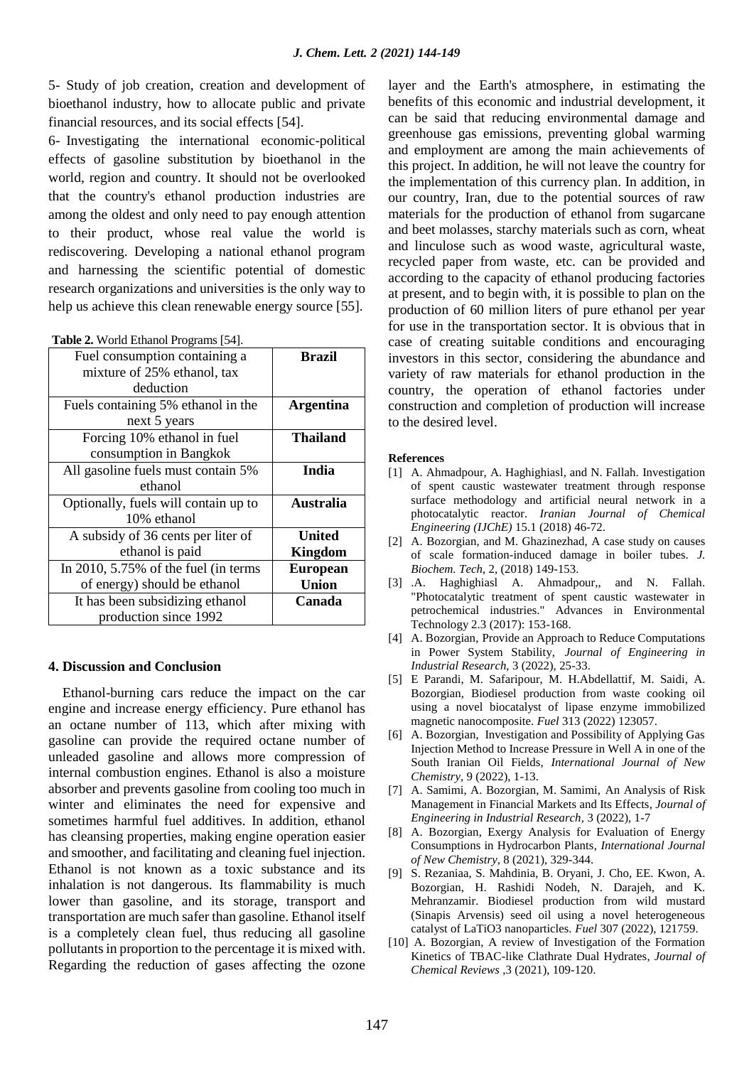5- Study of job creation, creation and development of bioethanol industry, how to allocate public and private financial resources, and its social effects [54].

6- Investigating the international economic-political effects of gasoline substitution by bioethanol in the world, region and country. It should not be overlooked that the country's ethanol production industries are among the oldest and only need to pay enough attention to their product, whose real value the world is rediscovering. Developing a national ethanol program and harnessing the scientific potential of domestic research organizations and universities is the only way to help us achieve this clean renewable energy source [55].

| Fuel consumption containing a           | <b>Brazil</b>    |
|-----------------------------------------|------------------|
| mixture of 25% ethanol, tax             |                  |
| deduction                               |                  |
| Fuels containing 5% ethanol in the      | <b>Argentina</b> |
| next 5 years                            |                  |
| Forcing 10% ethanol in fuel             | <b>Thailand</b>  |
| consumption in Bangkok                  |                  |
| All gasoline fuels must contain 5%      | India            |
| ethanol                                 |                  |
| Optionally, fuels will contain up to    | <b>Australia</b> |
| 10% ethanol                             |                  |
| A subsidy of 36 cents per liter of      | <b>United</b>    |
| ethanol is paid                         | <b>Kingdom</b>   |
| In 2010, $5.75\%$ of the fuel (in terms | <b>European</b>  |
| of energy) should be ethanol            | <b>Union</b>     |
| It has been subsidizing ethanol         | Canada           |
| production since 1992                   |                  |

**Table 2.** World Ethanol Programs [54].

#### **4. Discussion and Conclusion**

 Ethanol-burning cars reduce the impact on the car engine and increase energy efficiency. Pure ethanol has an octane number of 113, which after mixing with gasoline can provide the required octane number of unleaded gasoline and allows more compression of internal combustion engines. Ethanol is also a moisture absorber and prevents gasoline from cooling too much in winter and eliminates the need for expensive and sometimes harmful fuel additives. In addition, ethanol has cleansing properties, making engine operation easier and smoother, and facilitating and cleaning fuel injection. Ethanol is not known as a toxic substance and its inhalation is not dangerous. Its flammability is much lower than gasoline, and its storage, transport and transportation are much safer than gasoline. Ethanol itself is a completely clean fuel, thus reducing all gasoline pollutants in proportion to the percentage it is mixed with. Regarding the reduction of gases affecting the ozone

layer and the Earth's atmosphere, in estimating the benefits of this economic and industrial development, it can be said that reducing environmental damage and greenhouse gas emissions, preventing global warming and employment are among the main achievements of this project. In addition, he will not leave the country for the implementation of this currency plan. In addition, in our country, Iran, due to the potential sources of raw materials for the production of ethanol from sugarcane and beet molasses, starchy materials such as corn, wheat and linculose such as wood waste, agricultural waste, recycled paper from waste, etc. can be provided and according to the capacity of ethanol producing factories at present, and to begin with, it is possible to plan on the production of 60 million liters of pure ethanol per year for use in the transportation sector. It is obvious that in case of creating suitable conditions and encouraging investors in this sector, considering the abundance and variety of raw materials for ethanol production in the country, the operation of ethanol factories under construction and completion of production will increase to the desired level.

#### **References**

- [1] A. Ahmadpour, A. Haghighiasl, and N. Fallah. Investigation of spent caustic wastewater treatment through response surface methodology and artificial neural network in a photocatalytic reactor. *Iranian Journal of Chemical Engineering (IJChE)* 15.1 (2018) 46-72.
- [2] A. Bozorgian, and M. Ghazinezhad, A case study on causes of scale formation-induced damage in boiler tubes. *J. Biochem. Tech*, 2, (2018) 149-153.
- [3] .A. Haghighiasl A. Ahmadpour,, and N. Fallah. "Photocatalytic treatment of spent caustic wastewater in petrochemical industries." Advances in Environmental Technology 2.3 (2017): 153-168.
- [4] A. Bozorgian, Provide an Approach to Reduce Computations in Power System Stability, *Journal of Engineering in Industrial Research*, 3 (2022), 25-33.
- [5] E Parandi, M. Safaripour, M. H.Abdellattif, M. Saidi, A. Bozorgian, Biodiesel production from waste cooking oil using a novel biocatalyst of lipase enzyme immobilized magnetic nanocomposite. *Fuel* 313 (2022) 123057.
- [6] A. Bozorgian, Investigation and Possibility of Applying Gas Injection Method to Increase Pressure in Well A in one of the South Iranian Oil Fields, *International Journal of New Chemistry*, 9 (2022), 1-13.
- [7] A. Samimi, A. Bozorgian, M. Samimi, An Analysis of Risk Management in Financial Markets and Its Effects, *Journal of Engineering in Industrial Research,* 3 (2022), 1-7
- [8] A. Bozorgian, Exergy Analysis for Evaluation of Energy Consumptions in Hydrocarbon Plants, *International Journal of New Chemistry*, 8 (2021), 329-344.
- [9] S. Rezaniaa, S. Mahdinia, B. Oryani, J. Cho, EE. Kwon, A. Bozorgian, H. Rashidi Nodeh, N. Darajeh, and K. Mehranzamir. Biodiesel production from wild mustard (Sinapis Arvensis) seed oil using a novel heterogeneous catalyst of LaTiO3 nanoparticles. *Fuel* 307 (2022), 121759.
- [10] A. Bozorgian, A review of Investigation of the Formation Kinetics of TBAC-like Clathrate Dual Hydrates, *Journal of Chemical Reviews* ,3 (2021), 109-120.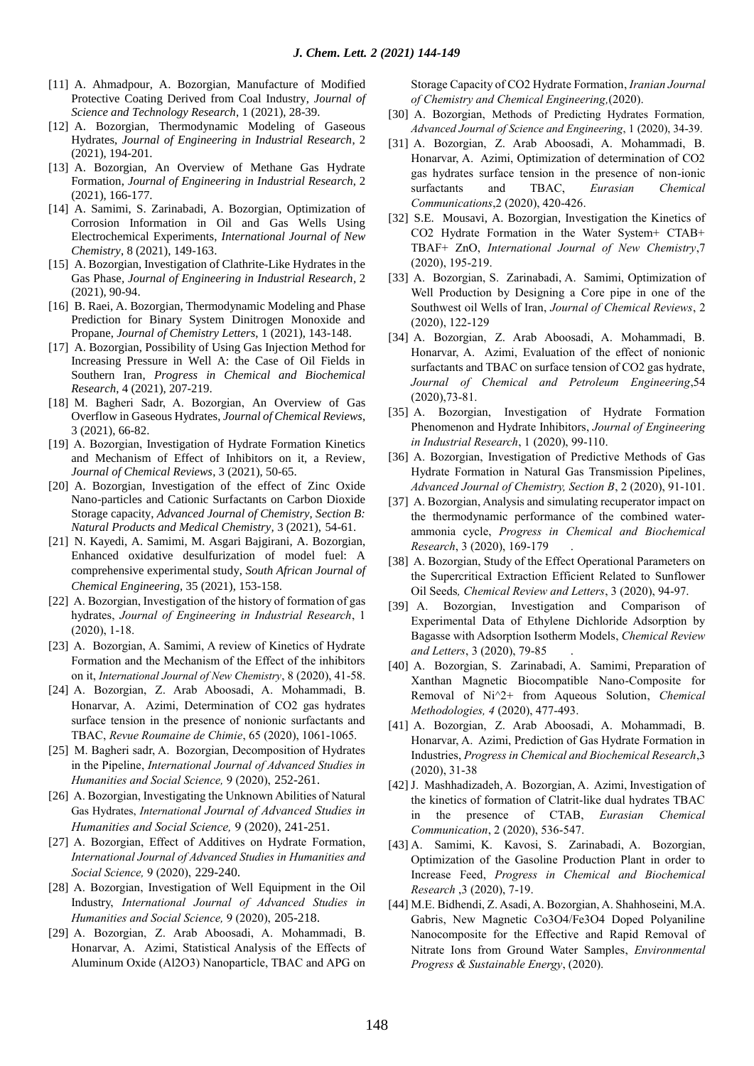- [11] A. Ahmadpour, A. Bozorgian, Manufacture of Modified Protective Coating Derived from Coal Industry, *Journal of Science and Technology Research*, 1 (2021), 28-39.
- [12] A. Bozorgian, Thermodynamic Modeling of Gaseous Hydrates, *Journal of Engineering in Industrial Research*, 2 (2021), 194-201.
- [13] A. Bozorgian, An Overview of Methane Gas Hydrate Formation, *Journal of Engineering in Industrial Research*, 2 (2021), 166-177.
- [14] A. Samimi, S. Zarinabadi, A. Bozorgian, Optimization of Corrosion Information in Oil and Gas Wells Using Electrochemical Experiments, *International Journal of New Chemistry*, 8 (2021), 149-163.
- [15] A. Bozorgian, Investigation of Clathrite-Like Hydrates in the Gas Phase*, Journal of Engineering in Industrial Research,* 2 (2021), 90-94.
- [16] B. Raei, A. Bozorgian, Thermodynamic Modeling and Phase Prediction for Binary System Dinitrogen Monoxide and Propane, *Journal of Chemistry Letters*, 1 (2021), 143-148.
- [17] A. Bozorgian, Possibility of Using Gas Injection Method for Increasing Pressure in Well A: the Case of Oil Fields in Southern Iran, *Progress in Chemical and Biochemical Research*, 4 (2021), 207-219.
- [18] M. Bagheri Sadr, A. Bozorgian, An Overview of Gas Overflow in Gaseous Hydrates, *Journal of Chemical Reviews*, 3 (2021), 66-82.
- [19] A. Bozorgian, Investigation of Hydrate Formation Kinetics and Mechanism of Effect of Inhibitors on it, a Review, *Journal of Chemical Reviews*, 3 (2021), 50-65.
- [20] A. Bozorgian, Investigation of the effect of Zinc Oxide Nano-particles and Cationic Surfactants on Carbon Dioxide Storage capacity, *Advanced Journal of Chemistry, Section B: Natural Products and Medical Chemistry,* 3 (2021), 54-61.
- [21] N. Kayedi, A. Samimi, M. Asgari Bajgirani, A. Bozorgian, Enhanced oxidative desulfurization of model fuel: A comprehensive experimental study, *South African Journal of Chemical Engineering*, 35 (2021), 153-158.
- [22] A. Bozorgian, Investigation of the history of formation of gas hydrates, *Journal of Engineering in Industrial Research*, 1 (2020), 1-18.
- [23] A. Bozorgian, A. Samimi, A review of Kinetics of Hydrate Formation and the Mechanism of the Effect of the inhibitors on it, *International Journal of New Chemistry*, 8 (2020), 41-58.
- [24] A. Bozorgian, Z. Arab Aboosadi, A. Mohammadi, B. Honarvar, A. Azimi, Determination of CO2 gas hydrates surface tension in the presence of nonionic surfactants and TBAC, *Revue Roumaine de Chimie*, 65 (2020), 1061-1065.
- [25] M. Bagheri sadr, A. Bozorgian, Decomposition of Hydrates in the Pipeline, *International Journal of Advanced Studies in Humanities and Social Science,* 9 (2020), 252-261.
- [26] A. Bozorgian, Investigating the Unknown Abilities of Natural Gas Hydrates, *International Journal of Advanced Studies in Humanities and Social Science,* 9 (2020), 241-251.
- [27] A. Bozorgian, Effect of Additives on Hydrate Formation, *International Journal of Advanced Studies in Humanities and Social Science,* 9 (2020), 229-240.
- [28] A. Bozorgian, Investigation of Well Equipment in the Oil Industry, *International Journal of Advanced Studies in Humanities and Social Science,* 9 (2020), 205-218.
- [29] A. Bozorgian, Z. Arab Aboosadi, A. Mohammadi, B. Honarvar, A. Azimi, Statistical Analysis of the Effects of Aluminum Oxide (Al2O3) Nanoparticle, TBAC and APG on

Storage Capacity of CO2 Hydrate Formation, *Iranian Journal of Chemistry and Chemical Engineering,*(2020).

- [30] A. Bozorgian, Methods of Predicting Hydrates Formation*, Advanced Journal of Science and Engineering*, 1 (2020), 34-39.
- [31] A. Bozorgian, Z. Arab Aboosadi, A. Mohammadi, B. Honarvar, A. Azimi, Optimization of determination of CO2 gas hydrates surface tension in the presence of non-ionic surfactants and TBAC, *Eurasian Chemical Communications*,2 (2020), 420-426.
- [32] S.E. Mousavi, A. Bozorgian, Investigation the Kinetics of CO2 Hydrate Formation in the Water System+ CTAB+ TBAF+ ZnO, *International Journal of New Chemistry*,7 (2020), 195-219.
- [33] A. Bozorgian, S. Zarinabadi, A. Samimi, Optimization of Well Production by Designing a Core pipe in one of the Southwest oil Wells of Iran, *Journal of Chemical Reviews*, 2 (2020), 122-129
- [34] A. Bozorgian, Z. Arab Aboosadi, A. Mohammadi, B. Honarvar, A. Azimi, Evaluation of the effect of nonionic surfactants and TBAC on surface tension of CO2 gas hydrate, *Journal of Chemical and Petroleum Engineering*,54 (2020),73-81.
- [35] A. Bozorgian, Investigation of Hydrate Formation Phenomenon and Hydrate Inhibitors, *Journal of Engineering in Industrial Research*, 1 (2020), 99-110.
- [36] A. Bozorgian, Investigation of Predictive Methods of Gas Hydrate Formation in Natural Gas Transmission Pipelines, *Advanced Journal of Chemistry, Section B*, 2 (2020), 91-101.
- [37] A. Bozorgian, Analysis and simulating recuperator impact on the thermodynamic performance of the combined waterammonia cycle, *Progress in Chemical and Biochemical Research*, 3 (2020), 169-179 .
- [38] A. Bozorgian, Study of the Effect Operational Parameters on the Supercritical Extraction Efficient Related to Sunflower Oil Seeds*, Chemical Review and Letters*, 3 (2020), 94-97.
- [39] A. Bozorgian, Investigation and Comparison of Experimental Data of Ethylene Dichloride Adsorption by Bagasse with Adsorption Isotherm Models, *Chemical Review and Letters*, 3 (2020), 79-85 .
- [40] A. Bozorgian, S. Zarinabadi, A. Samimi, Preparation of Xanthan Magnetic Biocompatible Nano-Composite for Removal of Ni^2+ from Aqueous Solution, *Chemical Methodologies, 4* (2020), 477-493.
- [41] A. Bozorgian, Z. Arab Aboosadi, A. Mohammadi, B. Honarvar, A. Azimi, Prediction of Gas Hydrate Formation in Industries, *Progress in Chemical and Biochemical Research*,3 (2020), 31-38
- [42] J. Mashhadizadeh, A. Bozorgian, A. Azimi, Investigation of the kinetics of formation of Clatrit-like dual hydrates TBAC in the presence of CTAB, *Eurasian Chemical Communication*, 2 (2020), 536-547.
- [43] A. Samimi, K. Kavosi, S. Zarinabadi, A. Bozorgian, Optimization of the Gasoline Production Plant in order to Increase Feed, *Progress in Chemical and Biochemical Research* ,3 (2020), 7-19.
- [44] M.E. Bidhendi, Z. Asadi, A. Bozorgian, A. Shahhoseini, M.A. Gabris, New Magnetic Co3O4/Fe3O4 Doped Polyaniline Nanocomposite for the Effective and Rapid Removal of Nitrate Ions from Ground Water Samples, *Environmental Progress & Sustainable Energy*, (2020).